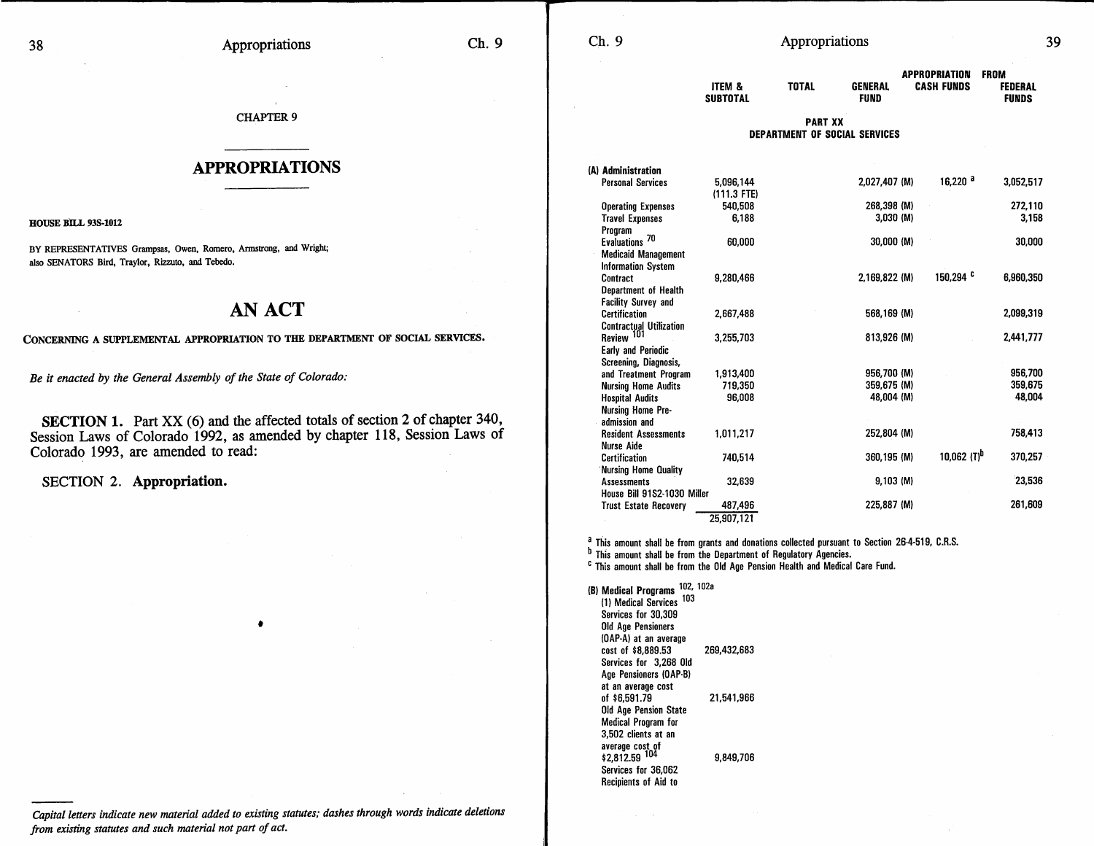CHAPTER 9

## **APPROPRIATIONS**

HOUSE BILL 93S-1012

BY REPRESENTATIVES Grampsas, Owen, Romero, Armstrong, and Wright; also SENATORS Bird, Traylor, Rizzuto, and Tebedo.

## **AN ACT**

## CONCERNING A SUPPLEMENTAL APPROPRIATION TO THE DEPARTMENT OF SOCIAL SERVICES.

*Be it enacted by the General Assembly of the State of Colorado:* 

SECTION 1. Part XX (6) and the affected totals of section 2 of chapter 340, Session Laws of Colorado 1992, as amended by chapter 118, Session Laws of Colorado 1993, are amended to read:

•

**SECTION 2. Appropriation.** 

*Capital letters indicate new material added to existing statutes; dashes through words indicate deletions from existing statutes and such material not part of act.* 

| ITEM &<br>SUBTOTAL | TOTAL          | GENERAL<br>FUND | <b>APPROPRIATION</b><br><b>CASH FUNDS</b> | ٠<br>FROM<br><b>FEDERAL</b><br><b>FUNDS</b> |
|--------------------|----------------|-----------------|-------------------------------------------|---------------------------------------------|
|                    | <b>PART XX</b> |                 |                                           |                                             |

**DEPARTMENT OF SOCIAL SERVICES** 

| (A) Administration             |               |               |                         |           |
|--------------------------------|---------------|---------------|-------------------------|-----------|
| <b>Personal Services</b>       | 5.096.144     | 2,027,407 (M) | 16,220 a                | 3,052,517 |
|                                | $(111.3$ FTE) |               |                         |           |
| <b>Operating Expenses</b>      | 540,508       | 268,398 (M)   |                         | 272,110   |
| <b>Travel Expenses</b>         | 6,188         | 3.030 (M)     |                         | 3.158     |
| Program                        |               |               |                         |           |
| Evaluations <sup>70</sup>      | 60,000        | 30,000 (M)    |                         | 30,000    |
| <b>Medicaid Management</b>     |               |               |                         |           |
| <b>Information System</b>      |               |               |                         |           |
| Contract                       | 9.280.466     | 2,169,822 (M) | 150,294 c               | 6,960,350 |
| Department of Health           |               |               |                         |           |
| <b>Facility Survey and</b>     |               |               |                         |           |
| Certification                  | 2.667.488     | 568,169 (M)   |                         | 2,099,319 |
| <b>Contractual Utilization</b> |               |               |                         |           |
| Review 101                     | 3,255,703     | 813,926 (M)   |                         | 2,441,777 |
| Early and Periodic             |               |               |                         |           |
| Screening, Diagnosis,          |               |               |                         |           |
| and Treatment Program          | 1,913,400     | 956,700 (M)   |                         | 956,700   |
| <b>Nursing Home Audits</b>     | 719,350       | 359.675 (M)   |                         | 359,675   |
| <b>Hospital Audits</b>         | 96,008        | 48.004 (M)    |                         | 48,004    |
| Nursing Home Pre-              |               |               |                         |           |
| admission and                  |               |               |                         |           |
| <b>Resident Assessments</b>    | 1,011,217     | 252,804 (M)   |                         | 758,413   |
| Nurse Aide                     |               |               |                         |           |
| Certification                  | 740,514       | 360,195 (M)   | 10.062 (T) <sup>b</sup> | 370,257   |
| Nursing Home Quality           |               |               |                         |           |
| <b>Assessments</b>             | 32,639        | $9,103$ (M)   |                         | 23,536    |
| House Bill 91S2-1030 Miller    |               |               |                         |           |
| <b>Trust Estate Recovery</b>   | 487,496       | 225,887 (M)   |                         | 261.609   |
|                                | 25,907,121    |               |                         |           |

<sup>a</sup> This amount shall be from grants and donations collected pursuant to Section 26-4-519, C.R.S.

 $<sup>b</sup>$  This amount shall be from the Department of Regulatory Agencies.</sup>

c This amount shall be from the Old Age Pension Health and Medical Care Fund.

(B) **Medical Programs** 102, 102a (1) Medical Services 103 Services for 30,309 Old Age Pensioners (OAP-A) at an average cost of \$8,889.53 269,432,683 Services for 3,268 Old Age Pensioners (OAP-B) at an average cost of \$6,591.79 21,541,966 Old Age Pension State Medical Program for 3,502 clients at an average cost of \$2,812.59 <sup>104</sup> 9,849,706 Services for 36,062 Recipients of Aid to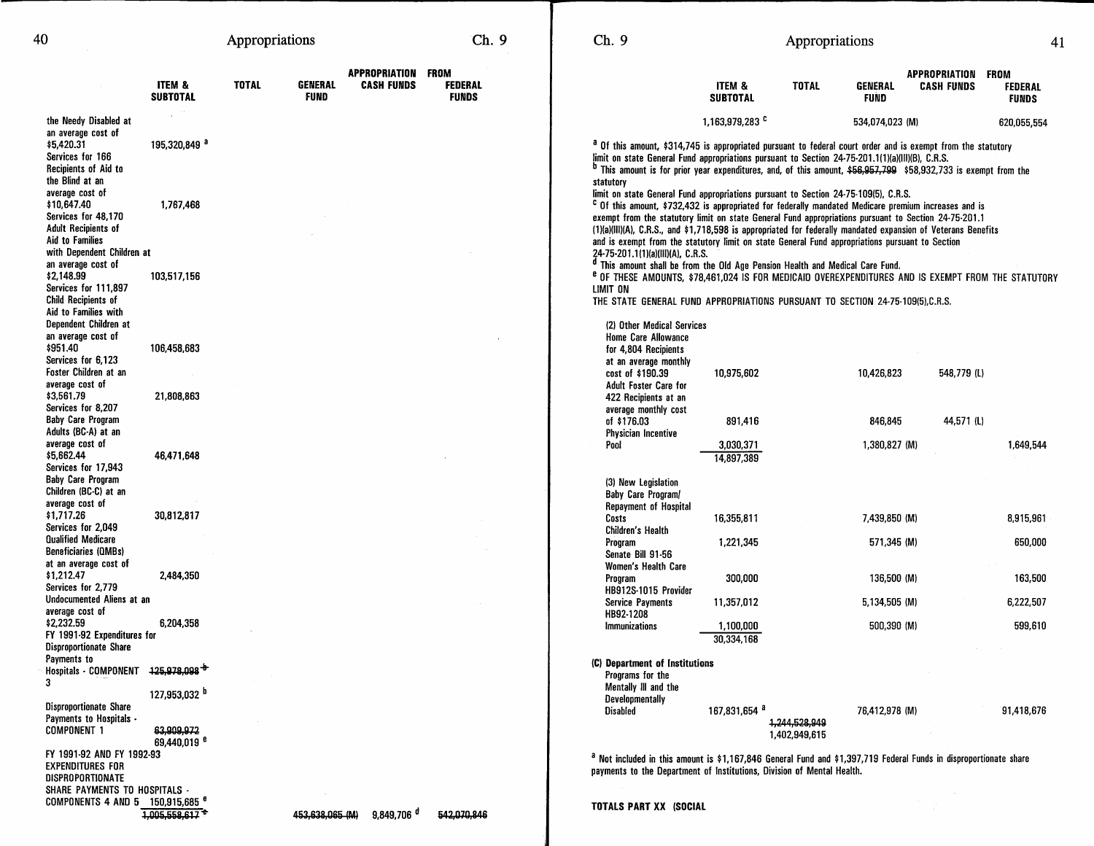| 40                                                                                                                                                                   |                                                                    | Appropriations |                               |                                         | Ch. 9                          | Ch. 9                                                                                                                                                                                                                                                                                                                                                                                                                                                                                                                              |                            | Appropriations                 |                               |                                                |                                |
|----------------------------------------------------------------------------------------------------------------------------------------------------------------------|--------------------------------------------------------------------|----------------|-------------------------------|-----------------------------------------|--------------------------------|------------------------------------------------------------------------------------------------------------------------------------------------------------------------------------------------------------------------------------------------------------------------------------------------------------------------------------------------------------------------------------------------------------------------------------------------------------------------------------------------------------------------------------|----------------------------|--------------------------------|-------------------------------|------------------------------------------------|--------------------------------|
|                                                                                                                                                                      | ITEM &<br><b>SUBTOTAL</b>                                          | <b>TOTAL</b>   | <b>GENERAL</b><br><b>FUND</b> | APPROPRIATION FROM<br><b>CASH FUNDS</b> | <b>FEDERAL</b><br><b>FUNDS</b> |                                                                                                                                                                                                                                                                                                                                                                                                                                                                                                                                    | ITEM &<br><b>SUBTOTAL</b>  | <b>TOTAL</b>                   | <b>GENERAL</b><br><b>FUND</b> | <b>APPROPRIATION FROM</b><br><b>CASH FUNDS</b> | <b>FEDERAL</b><br><b>FUNDS</b> |
| the Needy Disabled at                                                                                                                                                |                                                                    |                |                               |                                         |                                |                                                                                                                                                                                                                                                                                                                                                                                                                                                                                                                                    | 1,163,979,283 <sup>c</sup> |                                | 534,074,023 (M)               |                                                | 620,055,554                    |
| an average cost of<br>\$5,420.31<br>Services for 166<br>Recipients of Aid to<br>the Blind at an                                                                      | 195,320,849 <sup>a</sup>                                           |                |                               |                                         |                                | <sup>a</sup> Of this amount, \$314,745 is appropriated pursuant to federal court order and is exempt from the statutory<br>limit on state General Fund appropriations pursuant to Section 24-75-201.1(1)(a)(III)(B), C.R.S.<br><sup>b</sup> This amount is for prior year expenditures, and, of this amount, \$56,957,799 \$58,932,733 is exempt from the<br>statutory                                                                                                                                                             |                            |                                |                               |                                                |                                |
| average cost of<br>\$10,647.40<br>Services for 48,170<br><b>Adult Recipients of</b><br>Aid to Families                                                               | 1,767,468                                                          |                |                               |                                         |                                | limit on state General Fund appropriations pursuant to Section 24-75-109(5), C.R.S.<br><sup>c</sup> Of this amount, \$732,432 is appropriated for federally mandated Medicare premium increases and is<br>exempt from the statutory limit on state General Fund appropriations pursuant to Section 24-75-201.1<br>(1)(a)(III)(A), C.R.S., and \$1,718,598 is appropriated for federally mandated expansion of Veterans Benefits<br>and is exempt from the statutory limit on state General Fund appropriations pursuant to Section |                            |                                |                               |                                                |                                |
| with Dependent Children at<br>an average cost of<br>\$2,148.99<br>Services for 111,897<br><b>Child Recipients of</b><br>Aid to Families with                         | 103,517,156                                                        |                |                               |                                         |                                | 24-75-201.1(1)(a)(III)(A), C.R.S.<br><sup>d</sup> This amount shall be from the Old Age Pension Health and Medical Care Fund.<br><sup>e</sup> of these amounts, \$78,461,024 is for medicaid overexpenditures and is exempt from the statutory<br>LIMIT ON<br>THE STATE GENERAL FUND APPROPRIATIONS PURSUANT TO SECTION 24-75-109(5),C.R.S.                                                                                                                                                                                        |                            |                                |                               |                                                |                                |
| Dependent Children at<br>an average cost of<br>\$951.40<br>Services for 6,123<br>Foster Children at an<br>average cost of<br>\$3,561.79                              | 106,458,683<br>21,808,863                                          |                |                               |                                         |                                | (2) Other Medical Services<br><b>Home Care Allowance</b><br>for 4.804 Recipients<br>at an average monthly<br>cost of \$190.39<br>Adult Foster Care for                                                                                                                                                                                                                                                                                                                                                                             | 10,975,602                 |                                | 10,426,823                    | 548,779 (L)                                    |                                |
| Services for 8,207<br><b>Baby Care Program</b><br>Adults (BC-A) at an                                                                                                |                                                                    |                |                               |                                         |                                | 422 Recipients at an<br>average monthly cost<br>of \$176.03<br>Physician Incentive                                                                                                                                                                                                                                                                                                                                                                                                                                                 | 891,416                    |                                | 846,845                       | 44,571 (L)                                     |                                |
| average cost of<br>\$5,662.44<br>Services for 17,943                                                                                                                 | 46,471,648                                                         |                |                               |                                         |                                | Pool                                                                                                                                                                                                                                                                                                                                                                                                                                                                                                                               | 3,030,371<br>14,897,389    |                                | 1,380,827 (M)                 |                                                | 1,649,544                      |
| <b>Baby Care Program</b><br>Children (BC-C) at an<br>average cost of<br>\$1,717.26<br>Services for 2,049<br><b>Qualified Medicare</b><br><b>Beneficiaries (QMBs)</b> | 30,812,817                                                         |                |                               |                                         |                                | (3) New Legislation<br>Baby Care Program/<br>Repayment of Hospital<br>Costs<br>Children's Health<br>Program<br>Senate Bill 91-56                                                                                                                                                                                                                                                                                                                                                                                                   | 16,355,811<br>1,221,345    |                                | 7,439,850 (M)<br>571,345 (M)  |                                                | 8,915,961<br>650,000           |
| at an average cost of<br>\$1,212.47<br>Services for 2.779                                                                                                            | 2,484,350                                                          |                |                               |                                         |                                | Women's Health Care<br>Program                                                                                                                                                                                                                                                                                                                                                                                                                                                                                                     | 300,000                    |                                | 136,500 (M)                   |                                                | 163,500                        |
| Undocumented Aliens at an                                                                                                                                            |                                                                    |                |                               |                                         |                                | HB912S-1015 Provider<br><b>Service Payments</b>                                                                                                                                                                                                                                                                                                                                                                                                                                                                                    | 11,357,012                 |                                | 5.134.505 (M)                 |                                                | 6,222,507                      |
| average cost of<br>\$2,232.59<br>FY 1991-92 Expenditures for                                                                                                         | 6,204,358                                                          |                |                               |                                         |                                | HB92-1208<br>Immunizations                                                                                                                                                                                                                                                                                                                                                                                                                                                                                                         | 1,100,000<br>30,334,168    |                                | 500,390 (M)                   |                                                | 599,610                        |
| <b>Disproportionate Share</b><br>Payments to<br><b>Hospitals - COMPONENT</b><br>3<br>Disproportionate Share<br>Payments to Hospitals -<br><b>COMPONENT 1</b>         | 125,978,098 <sup>+</sup><br>127,953,032 <sup>b</sup><br>63.909.972 |                |                               |                                         |                                | (C) Department of Institutions<br>Programs for the<br>Mentally III and the<br>Developmentally<br><b>Disabled</b>                                                                                                                                                                                                                                                                                                                                                                                                                   | 167,831,654 <sup>a</sup>   | 1,244,528,949<br>1,402,949,615 | 76,412,978 (M)                |                                                | 91,418,676                     |
| FY 1991-92 AND FY 1992-93<br><b>EXPENDITURES FOR</b><br><b>DICODODODTIONATE</b>                                                                                      | 69,440,019 <sup>e</sup>                                            |                |                               |                                         |                                | <sup>a</sup> Not included in this amount is \$1,167,846 General Fund and \$1,397,719 Federal Funds in disproportionate share<br>payments to the Department of Institutions, Division of Mental Health.                                                                                                                                                                                                                                                                                                                             |                            |                                |                               |                                                |                                |

453,638,065 (M) 9,849,706 d 542,070,846

DISPROPORTIONATE

SHARE PAYMENTS TO HOSPITALS - COMPONENTS 4 AND 5 150,915,685 **<sup>e</sup>**

1,005,558,617 **"e-**

**TOTALS PART XX (SOCIAL**